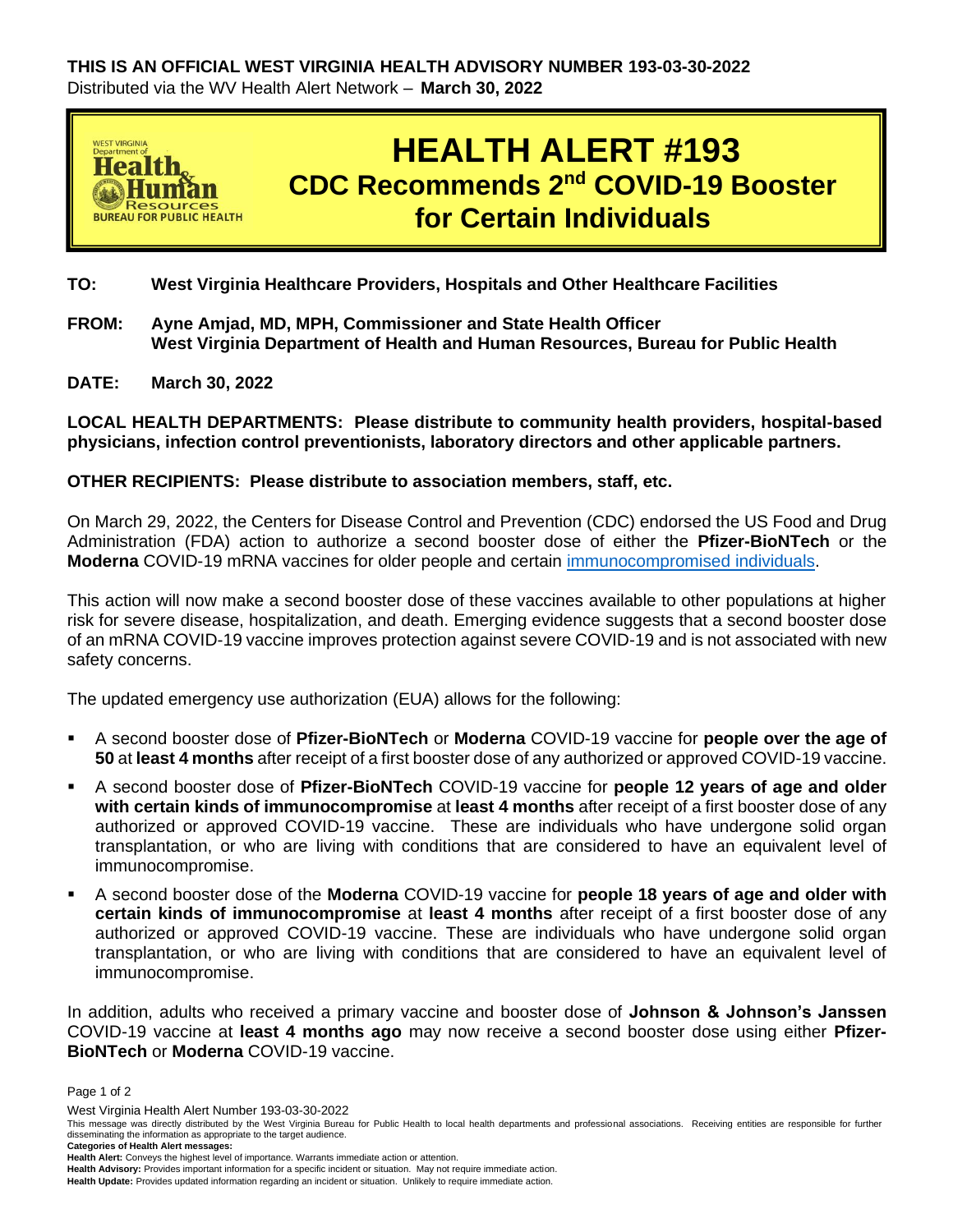

## **TO: West Virginia Healthcare Providers, Hospitals and Other Healthcare Facilities**

- **FROM: Ayne Amjad, MD, MPH, Commissioner and State Health Officer West Virginia Department of Health and Human Resources, Bureau for Public Health**
- **DATE: March 30, 2022**

**LOCAL HEALTH DEPARTMENTS: Please distribute to community health providers, hospital-based physicians, infection control preventionists, laboratory directors and other applicable partners.**

## **OTHER RECIPIENTS: Please distribute to association members, staff, etc.**

On March 29, 2022, the Centers for Disease Control and Prevention (CDC) endorsed the US Food and Drug Administration (FDA) action to authorize a second booster dose of either the **Pfizer-BioNTech** or the **Moderna** COVID-19 mRNA vaccines for older people and certain [immunocompromised individuals.](https://www.cdc.gov/coronavirus/2019-ncov/need-extra-precautions/people-with-medical-conditions.html)

This action will now make a second booster dose of these vaccines available to other populations at higher risk for severe disease, hospitalization, and death. Emerging evidence suggests that a second booster dose of an mRNA COVID-19 vaccine improves protection against severe COVID-19 and is not associated with new safety concerns.

The updated emergency use authorization (EUA) allows for the following:

- A second booster dose of **Pfizer-BioNTech** or **Moderna** COVID-19 vaccine for **people over the age of 50** at **least 4 months** after receipt of a first booster dose of any authorized or approved COVID-19 vaccine.
- A second booster dose of **Pfizer-BioNTech** COVID-19 vaccine for **people 12 years of age and older with certain kinds of immunocompromise** at **least 4 months** after receipt of a first booster dose of any authorized or approved COVID-19 vaccine. These are individuals who have undergone solid organ transplantation, or who are living with conditions that are considered to have an equivalent level of immunocompromise.
- A second booster dose of the **Moderna** COVID-19 vaccine for **people 18 years of age and older with certain kinds of immunocompromise** at **least 4 months** after receipt of a first booster dose of any authorized or approved COVID-19 vaccine. These are individuals who have undergone solid organ transplantation, or who are living with conditions that are considered to have an equivalent level of immunocompromise.

In addition, adults who received a primary vaccine and booster dose of **Johnson & Johnson's Janssen** COVID-19 vaccine at **least 4 months ago** may now receive a second booster dose using either **Pfizer-BioNTech** or **Moderna** COVID-19 vaccine.

Page 1 of 2

West Virginia Health Alert Number 193-03-30-2022

This message was directly distributed by the West Virginia Bureau for Public Health to local health departments and professional associations. Receiving entities are responsible for further disseminating the information as appropriate to the target audience. **Categories of Health Alert messages:** 

**Health Alert:** Conveys the highest level of importance. Warrants immediate action or attention.

**Health Advisory:** Provides important information for a specific incident or situation. May not require immediate action.

**Health Update:** Provides updated information regarding an incident or situation. Unlikely to require immediate action.